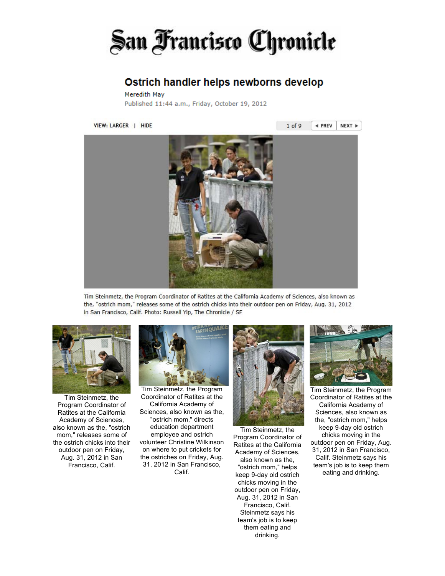## San Francisco Chronicle

## Ostrich handler helps newborns develop

Meredith May Published 11:44 a.m., Friday, October 19, 2012

VIEW: LARGER | HIDE

 $1$  of 9  $\triangleleft$  PREV NEXT »



Tim Steinmetz, the Program Coordinator of Ratites at the California Academy of Sciences, also known as the, "ostrich mom," releases some of the ostrich chicks into their outdoor pen on Friday, Aug. 31, 2012 in San Francisco, Calif. Photo: Russell Yip, The Chronicle / SF



Tim Steinmetz, the Program Coordinator of Ratites at the California Academy of Sciences, also known as the, "ostrich mom," releases some of the ostrich chicks into their outdoor pen on Friday, Aug. 31, 2012 in San Francisco, Calif.



Tim Steinmetz, the Program Coordinator of Ratites at the California Academy of Sciences, also known as the, "ostrich mom," directs education department employee and ostrich volunteer Christine Wilkinson on where to put crickets for the ostriches on Friday, Aug. 31, 2012 in San Francisco, Calif.



Tim Steinmetz, the Program Coordinator of Ratites at the California Academy of Sciences, also known as the, "ostrich mom," helps keep 9-day old ostrich chicks moving in the outdoor pen on Friday, Aug. 31, 2012 in San Francisco, Calif. Steinmetz says his team's job is to keep them eating and drinking.



Tim Steinmetz, the Program Coordinator of Ratites at the California Academy of Sciences, also known as the, "ostrich mom," helps keep 9-day old ostrich chicks moving in the outdoor pen on Friday, Aug. 31, 2012 in San Francisco, Calif. Steinmetz says his team's job is to keep them eating and drinking.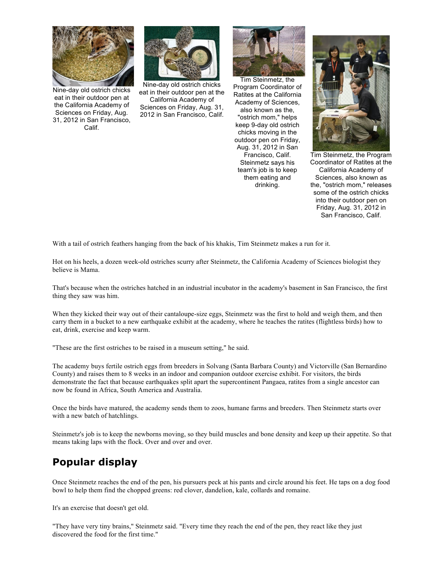

Nine-day old ostrich chicks eat in their outdoor pen at the California Academy of Sciences on Friday, Aug. 31, 2012 in San Francisco, Calif.



Nine-day old ostrich chicks eat in their outdoor pen at the California Academy of Sciences on Friday, Aug. 31, 2012 in San Francisco, Calif.



Tim Steinmetz, the Program Coordinator of Ratites at the California Academy of Sciences, also known as the, "ostrich mom," helps keep 9-day old ostrich chicks moving in the outdoor pen on Friday, Aug. 31, 2012 in San Francisco, Calif. Steinmetz says his team's job is to keep them eating and drinking.



Tim Steinmetz, the Program Coordinator of Ratites at the California Academy of Sciences, also known as the, "ostrich mom," releases some of the ostrich chicks into their outdoor pen on Friday, Aug. 31, 2012 in San Francisco, Calif.

With a tail of ostrich feathers hanging from the back of his khakis, Tim Steinmetz makes a run for it.

Hot on his heels, a dozen week-old ostriches scurry after Steinmetz, the California Academy of Sciences biologist they believe is Mama.

That's because when the ostriches hatched in an industrial incubator in the academy's basement in San Francisco, the first thing they saw was him.

When they kicked their way out of their cantaloupe-size eggs, Steinmetz was the first to hold and weigh them, and then carry them in a bucket to a new earthquake exhibit at the academy, where he teaches the ratites (flightless birds) how to eat, drink, exercise and keep warm.

"These are the first ostriches to be raised in a museum setting," he said.

The academy buys fertile ostrich eggs from breeders in Solvang (Santa Barbara County) and Victorville (San Bernardino County) and raises them to 8 weeks in an indoor and companion outdoor exercise exhibit. For visitors, the birds demonstrate the fact that because earthquakes split apart the supercontinent Pangaea, ratites from a single ancestor can now be found in Africa, South America and Australia.

Once the birds have matured, the academy sends them to zoos, humane farms and breeders. Then Steinmetz starts over with a new batch of hatchlings.

Steinmetz's job is to keep the newborns moving, so they build muscles and bone density and keep up their appetite. So that means taking laps with the flock. Over and over and over.

## **Popular display**

Once Steinmetz reaches the end of the pen, his pursuers peck at his pants and circle around his feet. He taps on a dog food bowl to help them find the chopped greens: red clover, dandelion, kale, collards and romaine.

It's an exercise that doesn't get old.

"They have very tiny brains," Steinmetz said. "Every time they reach the end of the pen, they react like they just discovered the food for the first time."